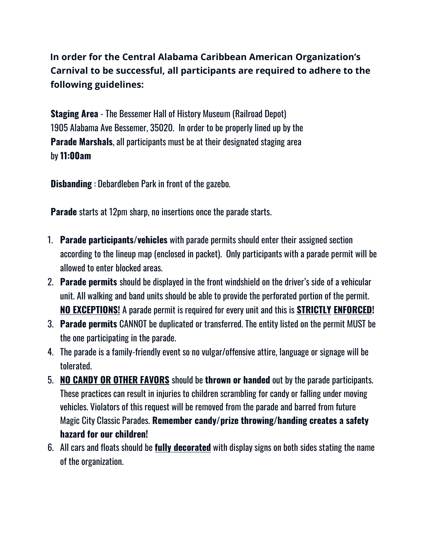**In order for the Central Alabama Caribbean American Organization's Carnival to be successful, all participants are required to adhere to the following guidelines:**

**Staging Area** - The Bessemer Hall of History Museum (Railroad Depot) 1905 Alabama Ave Bessemer, 35020. In order to be properly lined up by the **Parade Marshals**, all participants must be at their designated staging area by **11:00am**

**Disbanding** : Debardleben Park in front of the gazebo.

**Parade** starts at 12pm sharp, no insertions once the parade starts.

- 1. **Parade participants/vehicles** with parade permits should enter their assigned section according to the lineup map (enclosed in packet). Only participants with a parade permit will be allowed to enter blocked areas.
- 2. **Parade permits** should be displayed in the front windshield on the driver's side of a vehicular unit. All walking and band units should be able to provide the perforated portion of the permit. **NO EXCEPTIONS!** A parade permit is required for every unit and this is **STRICTLY ENFORCED!**
- 3. **Parade permits** CANNOT be duplicated or transferred. The entity listed on the permit MUST be the one participating in the parade.
- 4. The parade is a family-friendly event so no vulgar/offensive attire, language or signage will be tolerated.
- 5. **NO CANDY OR OTHER FAVORS** should be **thrown or handed** out by the parade participants. These practices can result in injuries to children scrambling for candy or falling under moving vehicles. Violators of this request will be removed from the parade and barred from future Magic City Classic Parades. **Remember candy/prize throwing/handing creates a safety hazard for our children!**
- 6. All cars and floats should be **fully decorated** with display signs on both sides stating the name of the organization.